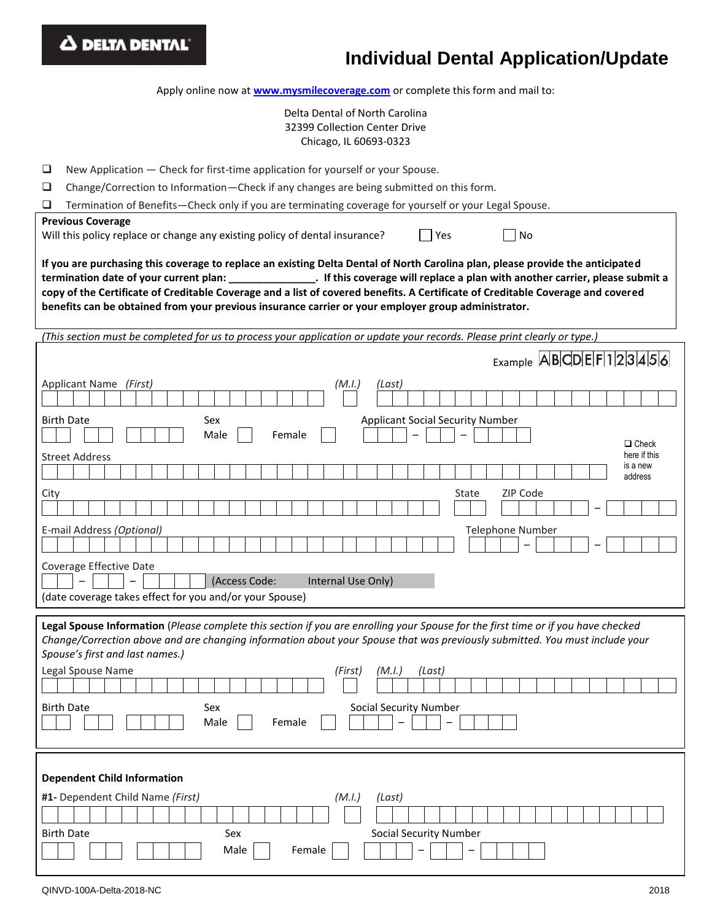| <b>4 DELTA DENTAL</b><br><b>Individual Dental Application/Update</b>                                                                                                                                                                                                                                                                                                     |  |  |  |  |  |  |
|--------------------------------------------------------------------------------------------------------------------------------------------------------------------------------------------------------------------------------------------------------------------------------------------------------------------------------------------------------------------------|--|--|--|--|--|--|
| Apply online now at www.mysmilecoverage.com or complete this form and mail to:                                                                                                                                                                                                                                                                                           |  |  |  |  |  |  |
| Delta Dental of North Carolina<br>32399 Collection Center Drive<br>Chicago, IL 60693-0323                                                                                                                                                                                                                                                                                |  |  |  |  |  |  |
| New Application - Check for first-time application for yourself or your Spouse.<br>⊔<br>⊔<br>Change/Correction to Information-Check if any changes are being submitted on this form.<br>⊔<br>Termination of Benefits-Check only if you are terminating coverage for yourself or your Legal Spouse.                                                                       |  |  |  |  |  |  |
| <b>Previous Coverage</b><br>Yes<br>Will this policy replace or change any existing policy of dental insurance?<br>∣No                                                                                                                                                                                                                                                    |  |  |  |  |  |  |
| If you are purchasing this coverage to replace an existing Delta Dental of North Carolina plan, please provide the anticipated<br>copy of the Certificate of Creditable Coverage and a list of covered benefits. A Certificate of Creditable Coverage and covered<br>benefits can be obtained from your previous insurance carrier or your employer group administrator. |  |  |  |  |  |  |
| (This section must be completed for us to process your application or update your records. Please print clearly or type.)                                                                                                                                                                                                                                                |  |  |  |  |  |  |
| $_{\text{Example}}$ ABCDEF123456                                                                                                                                                                                                                                                                                                                                         |  |  |  |  |  |  |
| Applicant Name (First)<br>(M.I.)<br>(Last)                                                                                                                                                                                                                                                                                                                               |  |  |  |  |  |  |
| <b>Birth Date</b><br>Sex<br><b>Applicant Social Security Number</b><br>Male<br>Female<br>$\Box$ Check<br>here if this<br><b>Street Address</b><br>is a new                                                                                                                                                                                                               |  |  |  |  |  |  |
| address<br>ZIP Code<br>State<br>City                                                                                                                                                                                                                                                                                                                                     |  |  |  |  |  |  |
| <b>Telephone Number</b><br>E-mail Address (Optional)                                                                                                                                                                                                                                                                                                                     |  |  |  |  |  |  |
| Coverage Effective Date<br>(Access Code:<br>Internal Use Only)<br>(date coverage takes effect for you and/or your Spouse)                                                                                                                                                                                                                                                |  |  |  |  |  |  |
| Legal Spouse Information (Please complete this section if you are enrolling your Spouse for the first time or if you have checked<br>Change/Correction above and are changing information about your Spouse that was previously submitted. You must include your<br>Spouse's first and last names.)                                                                      |  |  |  |  |  |  |
| Legal Spouse Name<br>(First)<br>(M.I.)<br>(Last)<br><b>Birth Date</b><br>Sex<br><b>Social Security Number</b><br>Male<br>Female                                                                                                                                                                                                                                          |  |  |  |  |  |  |
| <b>Dependent Child Information</b><br>#1- Dependent Child Name (First)<br>(M.I.)<br>(Last)<br><b>Social Security Number</b><br><b>Birth Date</b><br>Sex<br>Male<br>Female                                                                                                                                                                                                |  |  |  |  |  |  |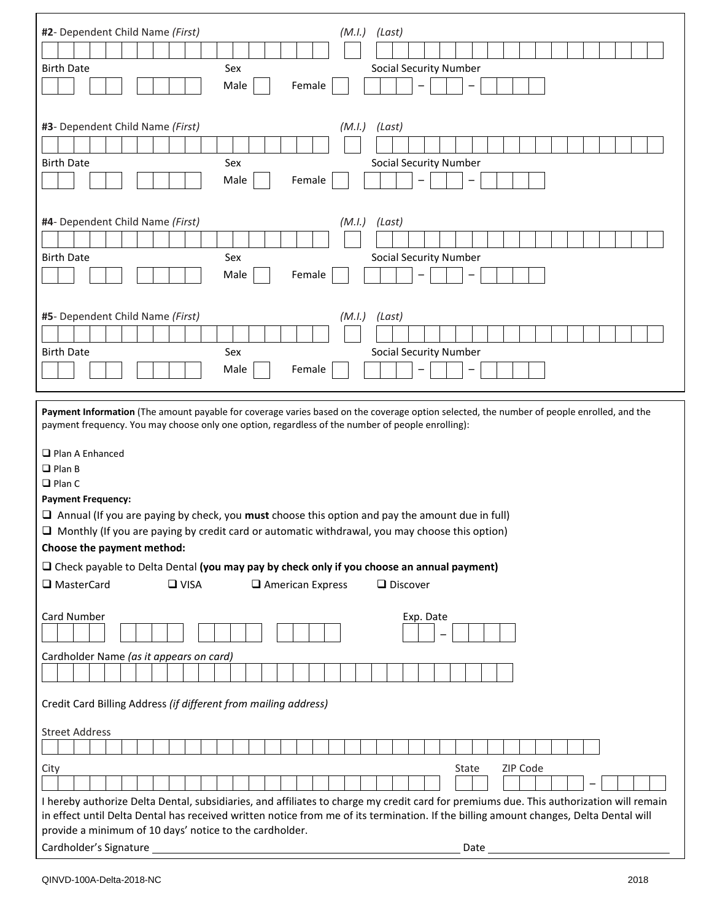| #2- Dependent Child Name (First)<br>(M.I.)<br>(Last)<br>Sex<br><b>Birth Date</b><br><b>Social Security Number</b><br>Male<br>Female                                                                                                                                                                                                                                                                                                                                                                                                                                                                                                                                                                 |
|-----------------------------------------------------------------------------------------------------------------------------------------------------------------------------------------------------------------------------------------------------------------------------------------------------------------------------------------------------------------------------------------------------------------------------------------------------------------------------------------------------------------------------------------------------------------------------------------------------------------------------------------------------------------------------------------------------|
| #3- Dependent Child Name (First)<br>(M.I.)<br>(Last)<br><b>Social Security Number</b><br><b>Birth Date</b><br>Sex<br>Male<br>Female                                                                                                                                                                                                                                                                                                                                                                                                                                                                                                                                                                 |
| #4- Dependent Child Name (First)<br>(Last)<br>(M.I.)<br><b>Birth Date</b><br>Sex<br><b>Social Security Number</b><br>Male<br>Female                                                                                                                                                                                                                                                                                                                                                                                                                                                                                                                                                                 |
| #5- Dependent Child Name (First)<br>(M.I.)<br>(Last)<br><b>Birth Date</b><br>Sex<br><b>Social Security Number</b><br>Male<br>Female                                                                                                                                                                                                                                                                                                                                                                                                                                                                                                                                                                 |
| Payment Information (The amount payable for coverage varies based on the coverage option selected, the number of people enrolled, and the<br>payment frequency. You may choose only one option, regardless of the number of people enrolling):<br>$\Box$ Plan A Enhanced<br>$\Box$ Plan B<br>$\Box$ Plan C<br><b>Payment Frequency:</b><br>$\Box$ Annual (If you are paying by check, you <b>must</b> choose this option and pay the amount due in full)<br>$\Box$ Monthly (If you are paying by credit card or automatic withdrawal, you may choose this option)<br>Choose the payment method:<br>$\Box$ Check payable to Delta Dental (you may pay by check only if you choose an annual payment) |

| □ MasterCard                                                                                                                                                                                                                                                                                                                                | $\Box$ VISA | $\Box$ American Express                                         | $\Box$ Discover                                                                                                                                                                                                                |  |  |
|---------------------------------------------------------------------------------------------------------------------------------------------------------------------------------------------------------------------------------------------------------------------------------------------------------------------------------------------|-------------|-----------------------------------------------------------------|--------------------------------------------------------------------------------------------------------------------------------------------------------------------------------------------------------------------------------|--|--|
| <b>Card Number</b>                                                                                                                                                                                                                                                                                                                          |             |                                                                 | Exp. Date                                                                                                                                                                                                                      |  |  |
| Cardholder Name (as it appears on card)                                                                                                                                                                                                                                                                                                     |             |                                                                 |                                                                                                                                                                                                                                |  |  |
|                                                                                                                                                                                                                                                                                                                                             |             |                                                                 |                                                                                                                                                                                                                                |  |  |
| <b>Street Address</b>                                                                                                                                                                                                                                                                                                                       |             | Credit Card Billing Address (if different from mailing address) |                                                                                                                                                                                                                                |  |  |
|                                                                                                                                                                                                                                                                                                                                             |             |                                                                 |                                                                                                                                                                                                                                |  |  |
| City                                                                                                                                                                                                                                                                                                                                        |             |                                                                 | ZIP Code<br>State                                                                                                                                                                                                              |  |  |
|                                                                                                                                                                                                                                                                                                                                             |             |                                                                 |                                                                                                                                                                                                                                |  |  |
| I hereby authorize Delta Dental, subsidiaries, and affiliates to charge my credit card for premiums due. This authorization will remain<br>in effect until Delta Dental has received written notice from me of its termination. If the billing amount changes, Delta Dental will<br>provide a minimum of 10 days' notice to the cardholder. |             |                                                                 |                                                                                                                                                                                                                                |  |  |
|                                                                                                                                                                                                                                                                                                                                             |             |                                                                 | Date and the contract of the contract of the contract of the contract of the contract of the contract of the contract of the contract of the contract of the contract of the contract of the contract of the contract of the c |  |  |